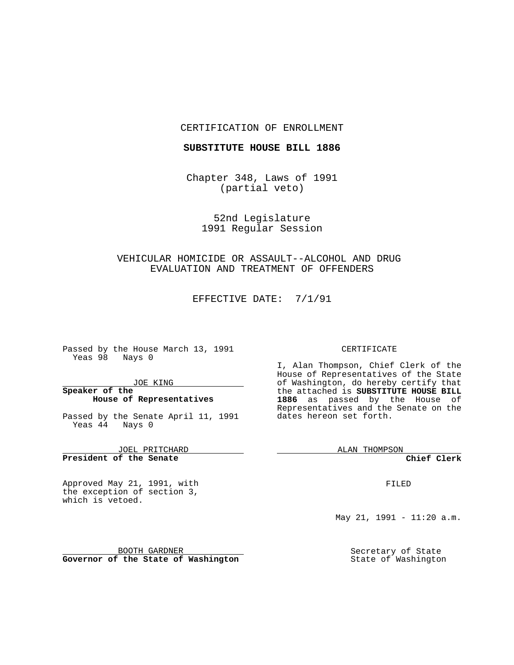#### CERTIFICATION OF ENROLLMENT

### **SUBSTITUTE HOUSE BILL 1886**

Chapter 348, Laws of 1991 (partial veto)

> 52nd Legislature 1991 Regular Session

## VEHICULAR HOMICIDE OR ASSAULT--ALCOHOL AND DRUG EVALUATION AND TREATMENT OF OFFENDERS

EFFECTIVE DATE: 7/1/91

Passed by the House March 13, 1991 Yeas 98 Nays 0

JOE KING

### **Speaker of the House of Representatives**

Passed by the Senate April 11, 1991 Yeas 44 Nays 0

JOEL PRITCHARD **President of the Senate**

Approved May 21, 1991, with the exception of section 3, which is vetoed.

### CERTIFICATE

I, Alan Thompson, Chief Clerk of the House of Representatives of the State of Washington, do hereby certify that the attached is **SUBSTITUTE HOUSE BILL 1886** as passed by the House of Representatives and the Senate on the dates hereon set forth.

ALAN THOMPSON

**Chief Clerk**

FILED

May 21, 1991 - 11:20 a.m.

Secretary of State State of Washington

BOOTH GARDNER **Governor of the State of Washington**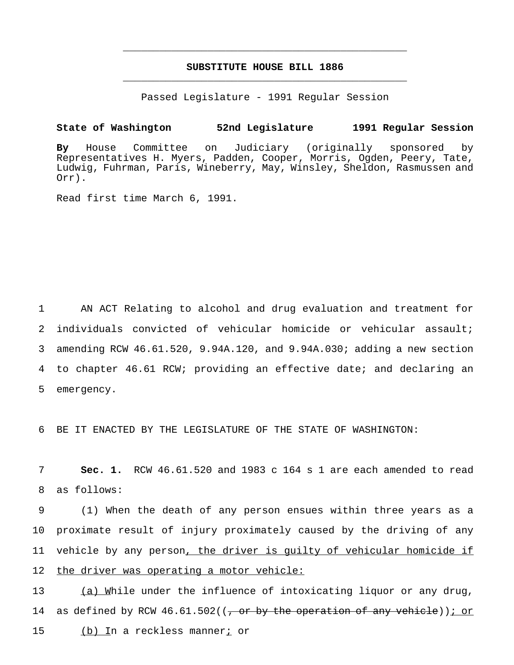# **SUBSTITUTE HOUSE BILL 1886** \_\_\_\_\_\_\_\_\_\_\_\_\_\_\_\_\_\_\_\_\_\_\_\_\_\_\_\_\_\_\_\_\_\_\_\_\_\_\_\_\_\_\_\_\_\_\_

\_\_\_\_\_\_\_\_\_\_\_\_\_\_\_\_\_\_\_\_\_\_\_\_\_\_\_\_\_\_\_\_\_\_\_\_\_\_\_\_\_\_\_\_\_\_\_

Passed Legislature - 1991 Regular Session

**State of Washington 52nd Legislature 1991 Regular Session**

**By** House Committee on Judiciary (originally sponsored by Representatives H. Myers, Padden, Cooper, Morris, Ogden, Peery, Tate, Ludwig, Fuhrman, Paris, Wineberry, May, Winsley, Sheldon, Rasmussen and Orr).

Read first time March 6, 1991.

 AN ACT Relating to alcohol and drug evaluation and treatment for individuals convicted of vehicular homicide or vehicular assault; amending RCW 46.61.520, 9.94A.120, and 9.94A.030; adding a new section to chapter 46.61 RCW; providing an effective date; and declaring an emergency.

6 BE IT ENACTED BY THE LEGISLATURE OF THE STATE OF WASHINGTON:

7 **Sec. 1.** RCW 46.61.520 and 1983 c 164 s 1 are each amended to read 8 as follows:

 (1) When the death of any person ensues within three years as a proximate result of injury proximately caused by the driving of any vehicle by any person, the driver is guilty of vehicular homicide if the driver was operating a motor vehicle:

13 (a) While under the influence of intoxicating liquor or any drug, 14 as defined by RCW  $46.61.502$  ((, or by the operation of any vehicle)); or 15 (b) In a reckless manner; or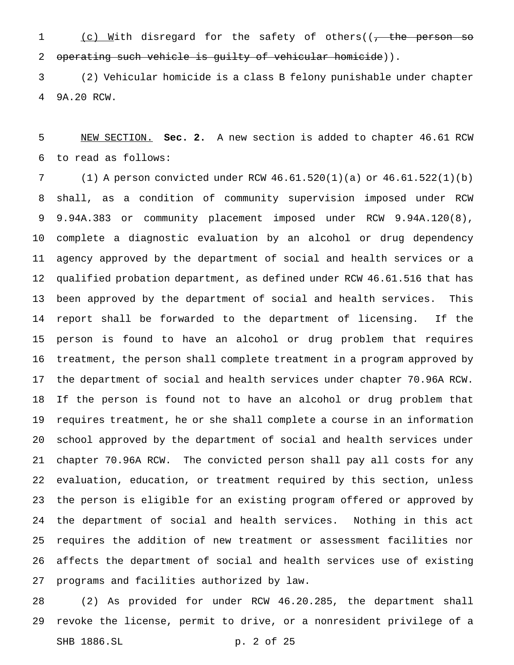1 (c) With disregard for the safety of others((, the person 2 operating such vehicle is guilty of vehicular homicide)).

 (2) Vehicular homicide is a class B felony punishable under chapter 9A.20 RCW.

 NEW SECTION. **Sec. 2.** A new section is added to chapter 46.61 RCW to read as follows:

 (1) A person convicted under RCW 46.61.520(1)(a) or 46.61.522(1)(b) shall, as a condition of community supervision imposed under RCW 9.94A.383 or community placement imposed under RCW 9.94A.120(8), complete a diagnostic evaluation by an alcohol or drug dependency agency approved by the department of social and health services or a qualified probation department, as defined under RCW 46.61.516 that has been approved by the department of social and health services. This report shall be forwarded to the department of licensing. If the person is found to have an alcohol or drug problem that requires treatment, the person shall complete treatment in a program approved by the department of social and health services under chapter 70.96A RCW. If the person is found not to have an alcohol or drug problem that requires treatment, he or she shall complete a course in an information school approved by the department of social and health services under chapter 70.96A RCW. The convicted person shall pay all costs for any evaluation, education, or treatment required by this section, unless the person is eligible for an existing program offered or approved by the department of social and health services. Nothing in this act requires the addition of new treatment or assessment facilities nor affects the department of social and health services use of existing programs and facilities authorized by law.

 (2) As provided for under RCW 46.20.285, the department shall revoke the license, permit to drive, or a nonresident privilege of a SHB 1886.SL p. 2 of 25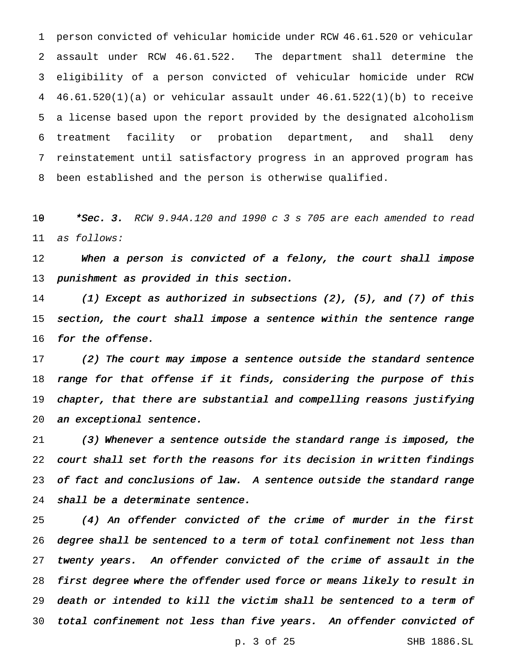person convicted of vehicular homicide under RCW 46.61.520 or vehicular assault under RCW 46.61.522. The department shall determine the eligibility of a person convicted of vehicular homicide under RCW 46.61.520(1)(a) or vehicular assault under 46.61.522(1)(b) to receive a license based upon the report provided by the designated alcoholism treatment facility or probation department, and shall deny reinstatement until satisfactory progress in an approved program has been established and the person is otherwise qualified.

19 \* Sec. 3. RCW 9.94A.120 and 1990 c 3 s 705 are each amended to read as follows:

12 When a person is convicted of a felony, the court shall impose 13 punishment as provided in this section.

 (1) Except as authorized in subsections (2), (5), and (7) of this 15 section, the court shall impose a sentence within the sentence range 16 for the offense.

 (2) The court may impose <sup>a</sup> sentence outside the standard sentence 18 range for that offense if it finds, considering the purpose of this chapter, that there are substantial and compelling reasons justifying an exceptional sentence.

 (3) Whenever <sup>a</sup> sentence outside the standard range is imposed, the court shall set forth the reasons for its decision in written findings 23 of fact and conclusions of law. A sentence outside the standard range shall be <sup>a</sup> determinate sentence.

 (4) An offender convicted of the crime of murder in the first degree shall be sentenced to <sup>a</sup> term of total confinement not less than twenty years. An offender convicted of the crime of assault in the first degree where the offender used force or means likely to result in death or intended to kill the victim shall be sentenced to <sup>a</sup> term of total confinement not less than five years. An offender convicted of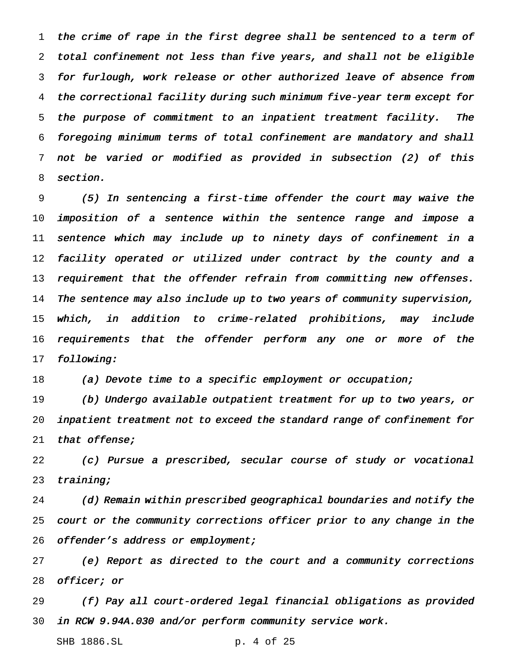the crime of rape in the first degree shall be sentenced to <sup>a</sup> term of total confinement not less than five years, and shall not be eligible for furlough, work release or other authorized leave of absence from the correctional facility during such minimum five-year term except for the purpose of commitment to an inpatient treatment facility. The foregoing minimum terms of total confinement are mandatory and shall not be varied or modified as provided in subsection (2) of this section.

 (5) In sentencing <sup>a</sup> first-time offender the court may waive the imposition of <sup>a</sup> sentence within the sentence range and impose <sup>a</sup> sentence which may include up to ninety days of confinement in <sup>a</sup> facility operated or utilized under contract by the county and <sup>a</sup> 13 requirement that the offender refrain from committing new offenses. The sentence may also include up to two years of community supervision, which, in addition to crime-related prohibitions, may include requirements that the offender perform any one or more of the following:

18 (a) Devote time to a specific employment or occupation;

 (b) Undergo available outpatient treatment for up to two years, or inpatient treatment not to exceed the standard range of confinement for 21 that offense;

 (c) Pursue <sup>a</sup> prescribed, secular course of study or vocational 23 training;

 (d) Remain within prescribed geographical boundaries and notify the court or the community corrections officer prior to any change in the 26 offender's address or employment;

 (e) Report as directed to the court and <sup>a</sup> community corrections officer; or

 (f) Pay all court-ordered legal financial obligations as provided in RCW 9.94A.030 and/or perform community service work.

SHB 1886.SL p. 4 of 25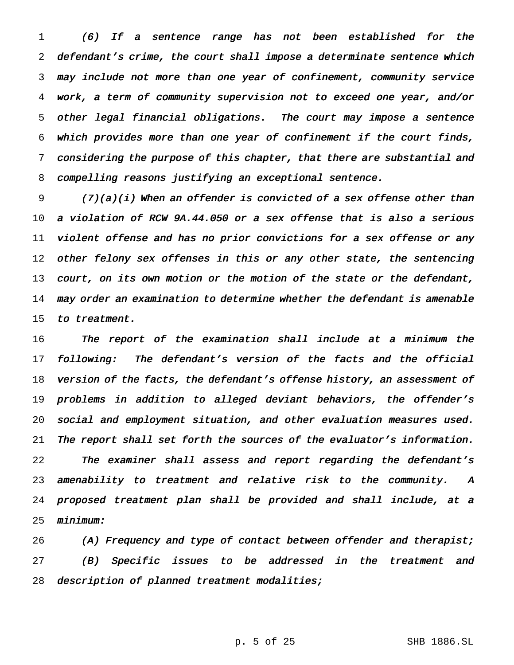(6) If <sup>a</sup> sentence range has not been established for the defendant's crime, the court shall impose <sup>a</sup> determinate sentence which may include not more than one year of confinement, community service work, <sup>a</sup> term of community supervision not to exceed one year, and/or other legal financial obligations. The court may impose <sup>a</sup> sentence which provides more than one year of confinement if the court finds, considering the purpose of this chapter, that there are substantial and compelling reasons justifying an exceptional sentence.

 (7)(a)(i) When an offender is convicted of <sup>a</sup> sex offense other than <sup>a</sup> violation of RCW 9A.44.050 or <sup>a</sup> sex offense that is also <sup>a</sup> serious violent offense and has no prior convictions for <sup>a</sup> sex offense or any 12 other felony sex offenses in this or any other state, the sentencing court, on its own motion or the motion of the state or the defendant, may order an examination to determine whether the defendant is amenable to treatment.

 The report of the examination shall include at <sup>a</sup> minimum the following: The defendant's version of the facts and the official 18 version of the facts, the defendant's offense history, an assessment of problems in addition to alleged deviant behaviors, the offender's social and employment situation, and other evaluation measures used. The report shall set forth the sources of the evaluator's information. The examiner shall assess and report regarding the defendant's amenability to treatment and relative risk to the community. <sup>A</sup> proposed treatment plan shall be provided and shall include, at <sup>a</sup> minimum:

26 (A) Frequency and type of contact between offender and therapist; (B) Specific issues to be addressed in the treatment and description of planned treatment modalities;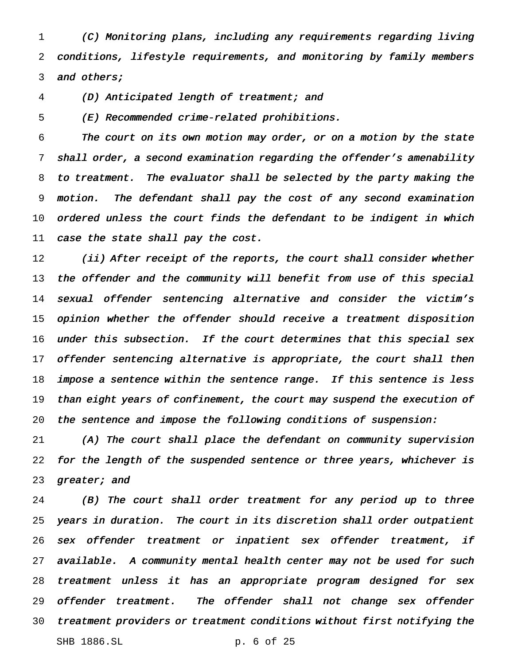(C) Monitoring plans, including any requirements regarding living conditions, lifestyle requirements, and monitoring by family members 3 and others;

(D) Anticipated length of treatment; and

(E) Recommended crime-related prohibitions.

 The court on its own motion may order, or on <sup>a</sup> motion by the state shall order, <sup>a</sup> second examination regarding the offender's amenability to treatment. The evaluator shall be selected by the party making the motion. The defendant shall pay the cost of any second examination ordered unless the court finds the defendant to be indigent in which 11 case the state shall pay the cost.

12 (ii) After receipt of the reports, the court shall consider whether 13 the offender and the community will benefit from use of this special sexual offender sentencing alternative and consider the victim's opinion whether the offender should receive <sup>a</sup> treatment disposition under this subsection. If the court determines that this special sex 17 offender sentencing alternative is appropriate, the court shall then 18 impose a sentence within the sentence range. If this sentence is less 19 than eight years of confinement, the court may suspend the execution of the sentence and impose the following conditions of suspension:

 (A) The court shall place the defendant on community supervision for the length of the suspended sentence or three years, whichever is 23 greater; and

 (B) The court shall order treatment for any period up to three years in duration. The court in its discretion shall order outpatient sex offender treatment or inpatient sex offender treatment, if available. <sup>A</sup> community mental health center may not be used for such treatment unless it has an appropriate program designed for sex 29 offender treatment. The offender shall not change sex offender treatment providers or treatment conditions without first notifying the SHB 1886.SL p. 6 of 25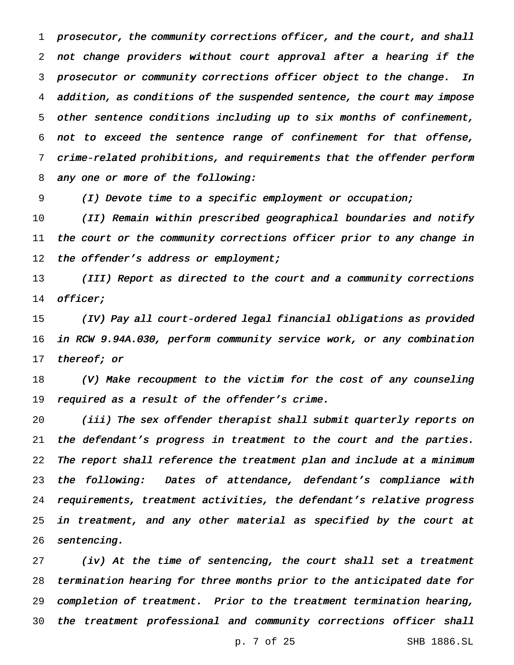prosecutor, the community corrections officer, and the court, and shall not change providers without court approval after <sup>a</sup> hearing if the prosecutor or community corrections officer object to the change. In addition, as conditions of the suspended sentence, the court may impose other sentence conditions including up to six months of confinement, not to exceed the sentence range of confinement for that offense, crime-related prohibitions, and requirements that the offender perform any one or more of the following:

(I) Devote time to <sup>a</sup> specific employment or occupation;

 (II) Remain within prescribed geographical boundaries and notify the court or the community corrections officer prior to any change in 12 the offender's address or employment;

 (III) Report as directed to the court and <sup>a</sup> community corrections officer;

 (IV) Pay all court-ordered legal financial obligations as provided in RCW 9.94A.030, perform community service work, or any combination 17 thereof; or

 (V) Make recoupment to the victim for the cost of any counseling 19 required as a result of the offender's crime.

 (iii) The sex offender therapist shall submit quarterly reports on the defendant's progress in treatment to the court and the parties. The report shall reference the treatment plan and include at <sup>a</sup> minimum the following: Dates of attendance, defendant's compliance with requirements, treatment activities, the defendant's relative progress in treatment, and any other material as specified by the court at sentencing.

 (iv) At the time of sentencing, the court shall set <sup>a</sup> treatment termination hearing for three months prior to the anticipated date for completion of treatment. Prior to the treatment termination hearing, the treatment professional and community corrections officer shall

p. 7 of 25 SHB 1886.SL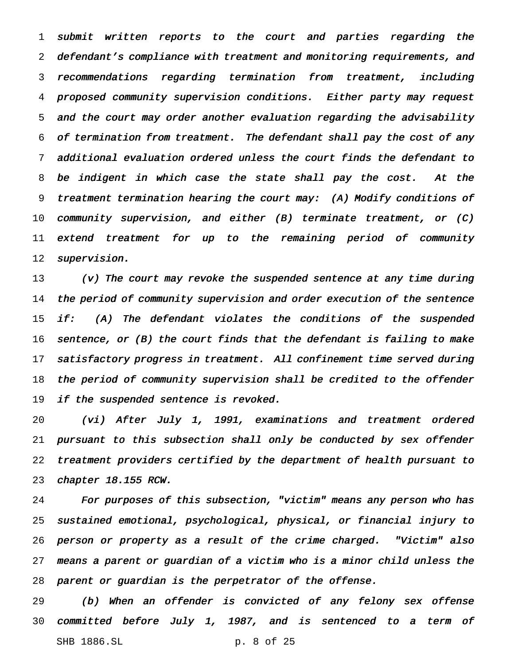submit written reports to the court and parties regarding the defendant's compliance with treatment and monitoring requirements, and recommendations regarding termination from treatment, including proposed community supervision conditions. Either party may request and the court may order another evaluation regarding the advisability of termination from treatment. The defendant shall pay the cost of any additional evaluation ordered unless the court finds the defendant to be indigent in which case the state shall pay the cost. At the treatment termination hearing the court may: (A) Modify conditions of 10 community supervision, and either  $(B)$  terminate treatment, or  $(C)$  extend treatment for up to the remaining period of community supervision.

 (v) The court may revoke the suspended sentence at any time during the period of community supervision and order execution of the sentence 15 if: (A) The defendant violates the conditions of the suspended sentence, or (B) the court finds that the defendant is failing to make satisfactory progress in treatment. All confinement time served during the period of community supervision shall be credited to the offender 19 if the suspended sentence is revoked.

 (vi) After July 1, 1991, examinations and treatment ordered pursuant to this subsection shall only be conducted by sex offender treatment providers certified by the department of health pursuant to chapter 18.155 RCW.

 For purposes of this subsection, "victim" means any person who has sustained emotional, psychological, physical, or financial injury to person or property as <sup>a</sup> result of the crime charged. "Victim" also means <sup>a</sup> parent or guardian of <sup>a</sup> victim who is <sup>a</sup> minor child unless the parent or guardian is the perpetrator of the offense.

 (b) When an offender is convicted of any felony sex offense committed before July 1, 1987, and is sentenced to <sup>a</sup> term of SHB 1886.SL p. 8 of 25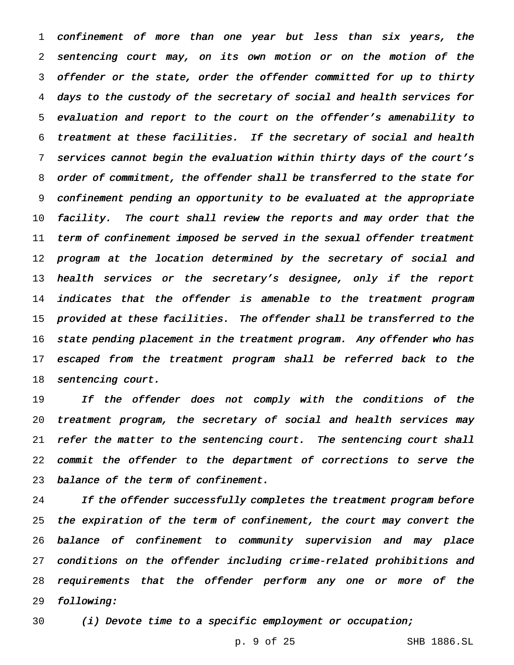confinement of more than one year but less than six years, the sentencing court may, on its own motion or on the motion of the offender or the state, order the offender committed for up to thirty days to the custody of the secretary of social and health services for evaluation and report to the court on the offender's amenability to treatment at these facilities. If the secretary of social and health services cannot begin the evaluation within thirty days of the court's order of commitment, the offender shall be transferred to the state for confinement pending an opportunity to be evaluated at the appropriate facility. The court shall review the reports and may order that the term of confinement imposed be served in the sexual offender treatment 12 program at the location determined by the secretary of social and 13 health services or the secretary's designee, only if the report 14 indicates that the offender is amenable to the treatment program 15 provided at these facilities. The offender shall be transferred to the state pending placement in the treatment program. Any offender who has escaped from the treatment program shall be referred back to the 18 sentencing court.

19 If the offender does not comply with the conditions of the treatment program, the secretary of social and health services may 21 refer the matter to the sentencing court. The sentencing court shall commit the offender to the department of corrections to serve the balance of the term of confinement.

24 If the offender successfully completes the treatment program before the expiration of the term of confinement, the court may convert the balance of confinement to community supervision and may place conditions on the offender including crime-related prohibitions and requirements that the offender perform any one or more of the following:

(i) Devote time to <sup>a</sup> specific employment or occupation;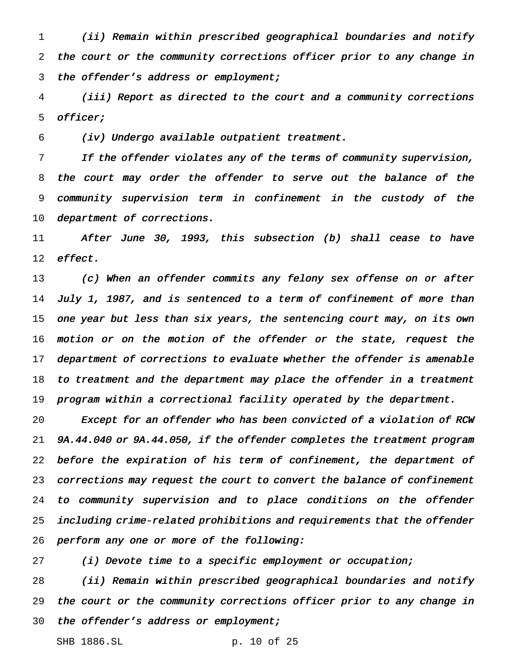(ii) Remain within prescribed geographical boundaries and notify the court or the community corrections officer prior to any change in the offender's address or employment;

 (iii) Report as directed to the court and <sup>a</sup> community corrections officer;

(iv) Undergo available outpatient treatment.

 If the offender violates any of the terms of community supervision, the court may order the offender to serve out the balance of the community supervision term in confinement in the custody of the 10 department of corrections.

 After June 30, 1993, this subsection (b) shall cease to have effect.

 (c) When an offender commits any felony sex offense on or after July 1, 1987, and is sentenced to <sup>a</sup> term of confinement of more than one year but less than six years, the sentencing court may, on its own motion or on the motion of the offender or the state, request the 17 department of corrections to evaluate whether the offender is amenable to treatment and the department may place the offender in <sup>a</sup> treatment program within <sup>a</sup> correctional facility operated by the department.

 Except for an offender who has been convicted of <sup>a</sup> violation of RCW 9A.44.040 or 9A.44.050, if the offender completes the treatment program before the expiration of his term of confinement, the department of corrections may request the court to convert the balance of confinement to community supervision and to place conditions on the offender including crime-related prohibitions and requirements that the offender perform any one or more of the following:

(i) Devote time to <sup>a</sup> specific employment or occupation;

 (ii) Remain within prescribed geographical boundaries and notify the court or the community corrections officer prior to any change in 30 the offender's address or employment;

SHB 1886.SL p. 10 of 25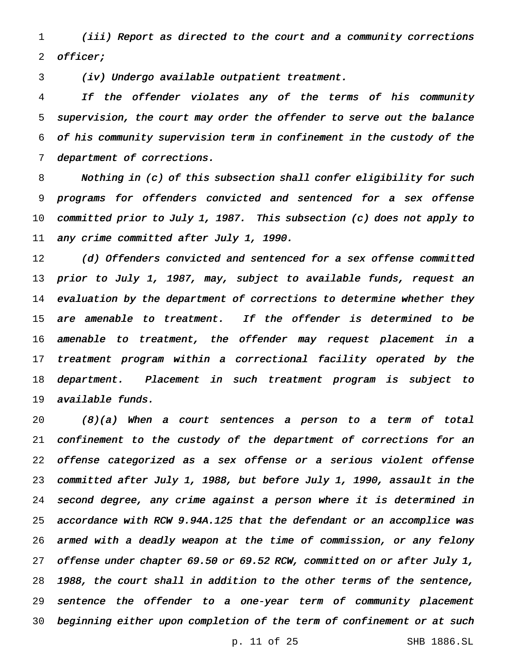(iii) Report as directed to the court and <sup>a</sup> community corrections officer;

(iv) Undergo available outpatient treatment.

 If the offender violates any of the terms of his community supervision, the court may order the offender to serve out the balance of his community supervision term in confinement in the custody of the department of corrections.

 Nothing in (c) of this subsection shall confer eligibility for such programs for offenders convicted and sentenced for <sup>a</sup> sex offense committed prior to July 1, 1987. This subsection (c) does not apply to 11 any crime committed after July 1, 1990.

12 (d) Offenders convicted and sentenced for a sex offense committed 13 prior to July 1, 1987, may, subject to available funds, request an 14 evaluation by the department of corrections to determine whether they 15 are amenable to treatment. If the offender is determined to be amenable to treatment, the offender may request placement in <sup>a</sup> treatment program within <sup>a</sup> correctional facility operated by the department. Placement in such treatment program is subject to available funds.

 (8)(a) When <sup>a</sup> court sentences <sup>a</sup> person to <sup>a</sup> term of total confinement to the custody of the department of corrections for an offense categorized as <sup>a</sup> sex offense or <sup>a</sup> serious violent offense committed after July 1, 1988, but before July 1, 1990, assault in the second degree, any crime against <sup>a</sup> person where it is determined in accordance with RCW 9.94A.125 that the defendant or an accomplice was armed with <sup>a</sup> deadly weapon at the time of commission, or any felony 27 offense under chapter 69.50 or 69.52 RCW, committed on or after July 1, 1988, the court shall in addition to the other terms of the sentence, sentence the offender to <sup>a</sup> one-year term of community placement beginning either upon completion of the term of confinement or at such

p. 11 of 25 SHB 1886.SL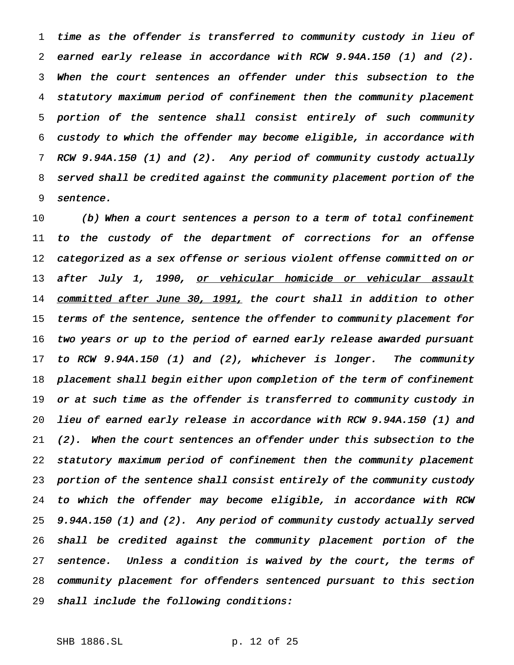time as the offender is transferred to community custody in lieu of earned early release in accordance with RCW 9.94A.150 (1) and (2). When the court sentences an offender under this subsection to the statutory maximum period of confinement then the community placement portion of the sentence shall consist entirely of such community custody to which the offender may become eligible, in accordance with RCW 9.94A.150 (1) and (2). Any period of community custody actually served shall be credited against the community placement portion of the sentence.

 (b) When <sup>a</sup> court sentences <sup>a</sup> person to <sup>a</sup> term of total confinement 11 to the custody of the department of corrections for an offense categorized as <sup>a</sup> sex offense or serious violent offense committed on or 13 after July 1, 1990, or vehicular homicide or vehicular assault 14 committed after June 30, 1991, the court shall in addition to other terms of the sentence, sentence the offender to community placement for 16 two years or up to the period of earned early release awarded pursuant to RCW 9.94A.150 (1) and (2), whichever is longer. The community placement shall begin either upon completion of the term of confinement 19 or at such time as the offender is transferred to community custody in lieu of earned early release in accordance with RCW 9.94A.150 (1) and (2). When the court sentences an offender under this subsection to the statutory maximum period of confinement then the community placement portion of the sentence shall consist entirely of the community custody to which the offender may become eligible, in accordance with RCW 9.94A.150 (1) and (2). Any period of community custody actually served shall be credited against the community placement portion of the 27 sentence. Unless a condition is waived by the court, the terms of community placement for offenders sentenced pursuant to this section shall include the following conditions:

SHB 1886.SL p. 12 of 25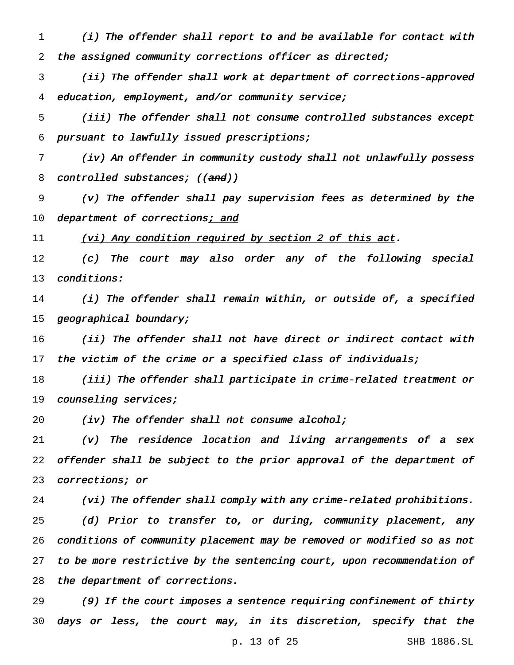(i) The offender shall report to and be available for contact with the assigned community corrections officer as directed;

 (ii) The offender shall work at department of corrections-approved education, employment, and/or community service;

 (iii) The offender shall not consume controlled substances except pursuant to lawfully issued prescriptions;

 (iv) An offender in community custody shall not unlawfully possess 8 controlled substances; ((and))

 (v) The offender shall pay supervision fees as determined by the 10 department of corrections; and

11 (vi) Any condition required by section 2 of this act.

 (c) The court may also order any of the following special conditions:

 (i) The offender shall remain within, or outside of, <sup>a</sup> specified geographical boundary;

 (ii) The offender shall not have direct or indirect contact with 17 the victim of the crime or a specified class of individuals;

 (iii) The offender shall participate in crime-related treatment or counseling services;

20 (iv) The offender shall not consume alcohol;

 (v) The residence location and living arrangements of a sex offender shall be subject to the prior approval of the department of corrections; or

 (vi) The offender shall comply with any crime-related prohibitions. (d) Prior to transfer to, or during, community placement, any conditions of community placement may be removed or modified so as not 27 to be more restrictive by the sentencing court, upon recommendation of the department of corrections.

 (9) If the court imposes <sup>a</sup> sentence requiring confinement of thirty days or less, the court may, in its discretion, specify that the

p. 13 of 25 SHB 1886.SL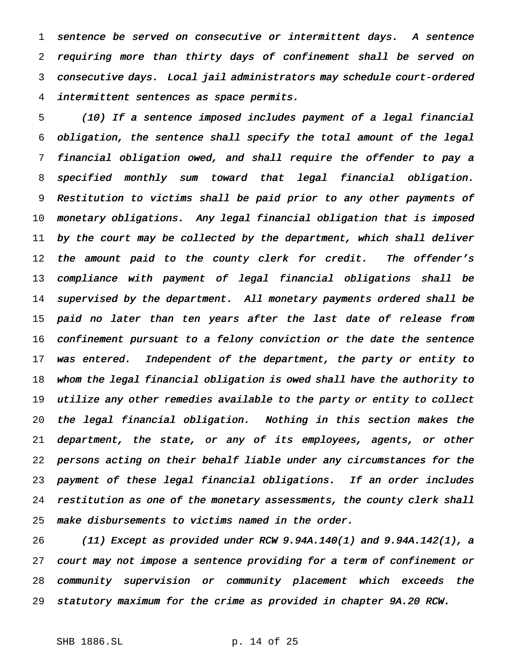sentence be served on consecutive or intermittent days. <sup>A</sup> sentence requiring more than thirty days of confinement shall be served on consecutive days. Local jail administrators may schedule court-ordered intermittent sentences as space permits.

 (10) If <sup>a</sup> sentence imposed includes payment of <sup>a</sup> legal financial obligation, the sentence shall specify the total amount of the legal financial obligation owed, and shall require the offender to pay <sup>a</sup> specified monthly sum toward that legal financial obligation. Restitution to victims shall be paid prior to any other payments of monetary obligations. Any legal financial obligation that is imposed by the court may be collected by the department, which shall deliver 12 the amount paid to the county clerk for credit. The offender's compliance with payment of legal financial obligations shall be supervised by the department. All monetary payments ordered shall be paid no later than ten years after the last date of release from confinement pursuant to <sup>a</sup> felony conviction or the date the sentence 17 was entered. Independent of the department, the party or entity to whom the legal financial obligation is owed shall have the authority to utilize any other remedies available to the party or entity to collect the legal financial obligation. Nothing in this section makes the department, the state, or any of its employees, agents, or other persons acting on their behalf liable under any circumstances for the payment of these legal financial obligations. If an order includes restitution as one of the monetary assessments, the county clerk shall make disbursements to victims named in the order.

 (11) Except as provided under RCW 9.94A.140(1) and 9.94A.142(1), <sup>a</sup> court may not impose <sup>a</sup> sentence providing for <sup>a</sup> term of confinement or community supervision or community placement which exceeds the statutory maximum for the crime as provided in chapter 9A.20 RCW.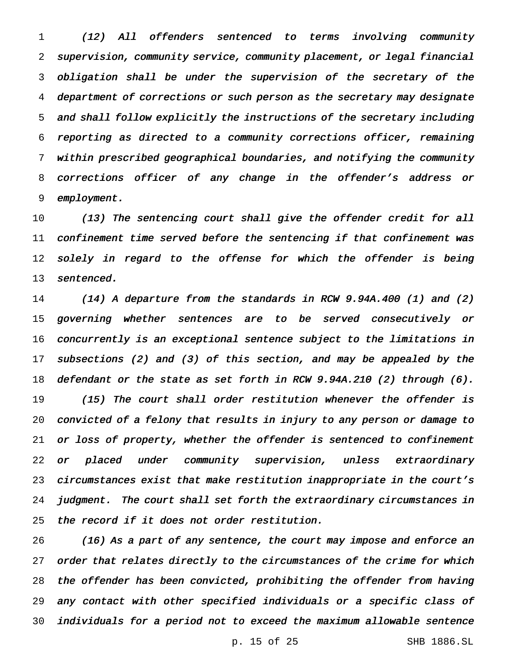(12) All offenders sentenced to terms involving community supervision, community service, community placement, or legal financial obligation shall be under the supervision of the secretary of the department of corrections or such person as the secretary may designate and shall follow explicitly the instructions of the secretary including reporting as directed to <sup>a</sup> community corrections officer, remaining within prescribed geographical boundaries, and notifying the community corrections officer of any change in the offender's address or employment.

10 (13) The sentencing court shall give the offender credit for all confinement time served before the sentencing if that confinement was 12 solely in regard to the offense for which the offender is being 13 sentenced.

 (14) <sup>A</sup> departure from the standards in RCW 9.94A.400 (1) and (2) governing whether sentences are to be served consecutively or concurrently is an exceptional sentence subject to the limitations in subsections (2) and (3) of this section, and may be appealed by the defendant or the state as set forth in RCW 9.94A.210 (2) through (6). (15) The court shall order restitution whenever the offender is convicted of <sup>a</sup> felony that results in injury to any person or damage to or loss of property, whether the offender is sentenced to confinement or placed under community supervision, unless extraordinary circumstances exist that make restitution inappropriate in the court's judgment. The court shall set forth the extraordinary circumstances in the record if it does not order restitution.

 (16) As <sup>a</sup> part of any sentence, the court may impose and enforce an 27 order that relates directly to the circumstances of the crime for which the offender has been convicted, prohibiting the offender from having any contact with other specified individuals or <sup>a</sup> specific class of individuals for <sup>a</sup> period not to exceed the maximum allowable sentence

p. 15 of 25 SHB 1886.SL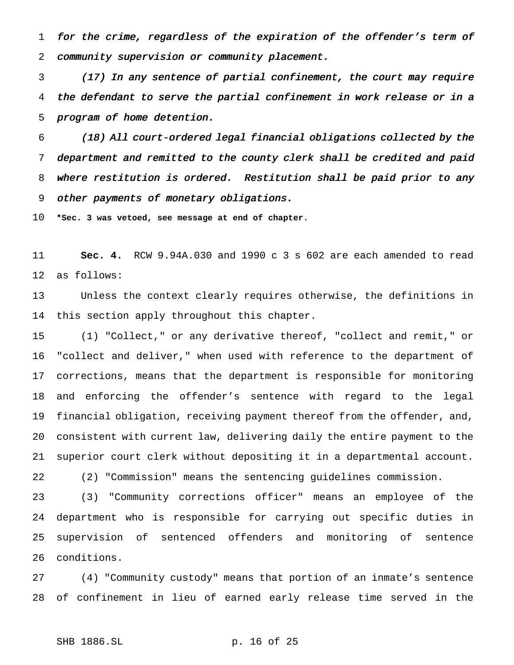for the crime, regardless of the expiration of the offender's term of community supervision or community placement.

 (17) In any sentence of partial confinement, the court may require the defendant to serve the partial confinement in work release or in <sup>a</sup> program of home detention.

 (18) All court-ordered legal financial obligations collected by the department and remitted to the county clerk shall be credited and paid where restitution is ordered. Restitution shall be paid prior to any other payments of monetary obligations.

**\*Sec. 3 was vetoed, see message at end of chapter.**

 **Sec. 4.** RCW 9.94A.030 and 1990 c 3 s 602 are each amended to read as follows:

 Unless the context clearly requires otherwise, the definitions in this section apply throughout this chapter.

 (1) "Collect," or any derivative thereof, "collect and remit," or "collect and deliver," when used with reference to the department of corrections, means that the department is responsible for monitoring and enforcing the offender's sentence with regard to the legal financial obligation, receiving payment thereof from the offender, and, consistent with current law, delivering daily the entire payment to the superior court clerk without depositing it in a departmental account.

(2) "Commission" means the sentencing guidelines commission.

 (3) "Community corrections officer" means an employee of the department who is responsible for carrying out specific duties in supervision of sentenced offenders and monitoring of sentence conditions.

 (4) "Community custody" means that portion of an inmate's sentence of confinement in lieu of earned early release time served in the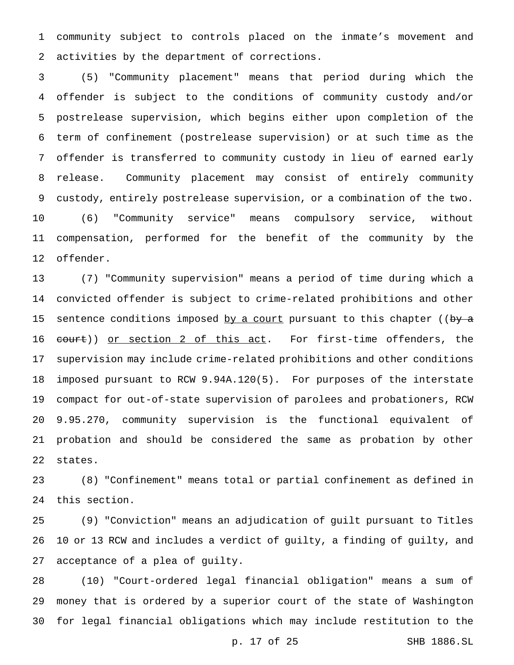community subject to controls placed on the inmate's movement and activities by the department of corrections.

 (5) "Community placement" means that period during which the offender is subject to the conditions of community custody and/or postrelease supervision, which begins either upon completion of the term of confinement (postrelease supervision) or at such time as the offender is transferred to community custody in lieu of earned early release. Community placement may consist of entirely community custody, entirely postrelease supervision, or a combination of the two. (6) "Community service" means compulsory service, without compensation, performed for the benefit of the community by the offender.

 (7) "Community supervision" means a period of time during which a convicted offender is subject to crime-related prohibitions and other 15 sentence conditions imposed by a court pursuant to this chapter ((by a 16 court)) or section 2 of this act. For first-time offenders, the supervision may include crime-related prohibitions and other conditions imposed pursuant to RCW 9.94A.120(5). For purposes of the interstate compact for out-of-state supervision of parolees and probationers, RCW 9.95.270, community supervision is the functional equivalent of probation and should be considered the same as probation by other states.

 (8) "Confinement" means total or partial confinement as defined in this section.

 (9) "Conviction" means an adjudication of guilt pursuant to Titles 10 or 13 RCW and includes a verdict of guilty, a finding of guilty, and acceptance of a plea of guilty.

 (10) "Court-ordered legal financial obligation" means a sum of money that is ordered by a superior court of the state of Washington for legal financial obligations which may include restitution to the

p. 17 of 25 SHB 1886.SL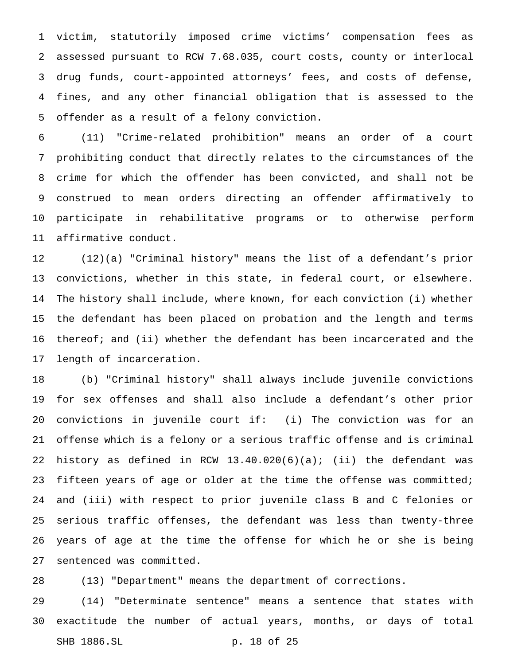victim, statutorily imposed crime victims' compensation fees as assessed pursuant to RCW 7.68.035, court costs, county or interlocal drug funds, court-appointed attorneys' fees, and costs of defense, fines, and any other financial obligation that is assessed to the offender as a result of a felony conviction.

 (11) "Crime-related prohibition" means an order of a court prohibiting conduct that directly relates to the circumstances of the crime for which the offender has been convicted, and shall not be construed to mean orders directing an offender affirmatively to participate in rehabilitative programs or to otherwise perform affirmative conduct.

 (12)(a) "Criminal history" means the list of a defendant's prior convictions, whether in this state, in federal court, or elsewhere. The history shall include, where known, for each conviction (i) whether the defendant has been placed on probation and the length and terms 16 thereof; and (ii) whether the defendant has been incarcerated and the length of incarceration.

 (b) "Criminal history" shall always include juvenile convictions for sex offenses and shall also include a defendant's other prior convictions in juvenile court if: (i) The conviction was for an offense which is a felony or a serious traffic offense and is criminal 22 history as defined in RCW  $13.40.020(6)(a)$ ; (ii) the defendant was 23 fifteen years of age or older at the time the offense was committed; and (iii) with respect to prior juvenile class B and C felonies or serious traffic offenses, the defendant was less than twenty-three years of age at the time the offense for which he or she is being sentenced was committed.

(13) "Department" means the department of corrections.

 (14) "Determinate sentence" means a sentence that states with exactitude the number of actual years, months, or days of total SHB 1886.SL p. 18 of 25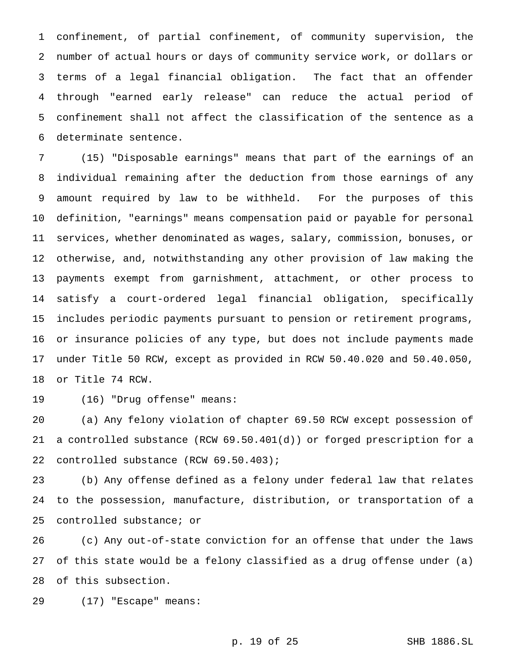confinement, of partial confinement, of community supervision, the number of actual hours or days of community service work, or dollars or terms of a legal financial obligation. The fact that an offender through "earned early release" can reduce the actual period of confinement shall not affect the classification of the sentence as a determinate sentence.

 (15) "Disposable earnings" means that part of the earnings of an individual remaining after the deduction from those earnings of any amount required by law to be withheld. For the purposes of this definition, "earnings" means compensation paid or payable for personal services, whether denominated as wages, salary, commission, bonuses, or otherwise, and, notwithstanding any other provision of law making the payments exempt from garnishment, attachment, or other process to satisfy a court-ordered legal financial obligation, specifically includes periodic payments pursuant to pension or retirement programs, or insurance policies of any type, but does not include payments made under Title 50 RCW, except as provided in RCW 50.40.020 and 50.40.050, or Title 74 RCW.

(16) "Drug offense" means:

 (a) Any felony violation of chapter 69.50 RCW except possession of a controlled substance (RCW 69.50.401(d)) or forged prescription for a controlled substance (RCW 69.50.403);

 (b) Any offense defined as a felony under federal law that relates to the possession, manufacture, distribution, or transportation of a controlled substance; or

 (c) Any out-of-state conviction for an offense that under the laws of this state would be a felony classified as a drug offense under (a) of this subsection.

(17) "Escape" means: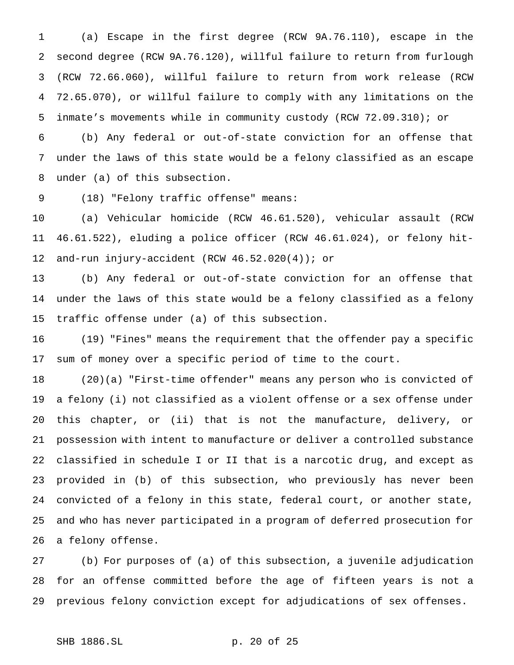(a) Escape in the first degree (RCW 9A.76.110), escape in the second degree (RCW 9A.76.120), willful failure to return from furlough (RCW 72.66.060), willful failure to return from work release (RCW 72.65.070), or willful failure to comply with any limitations on the inmate's movements while in community custody (RCW 72.09.310); or

 (b) Any federal or out-of-state conviction for an offense that under the laws of this state would be a felony classified as an escape under (a) of this subsection.

(18) "Felony traffic offense" means:

 (a) Vehicular homicide (RCW 46.61.520), vehicular assault (RCW 46.61.522), eluding a police officer (RCW 46.61.024), or felony hit-and-run injury-accident (RCW 46.52.020(4)); or

 (b) Any federal or out-of-state conviction for an offense that under the laws of this state would be a felony classified as a felony traffic offense under (a) of this subsection.

 (19) "Fines" means the requirement that the offender pay a specific sum of money over a specific period of time to the court.

 (20)(a) "First-time offender" means any person who is convicted of a felony (i) not classified as a violent offense or a sex offense under this chapter, or (ii) that is not the manufacture, delivery, or possession with intent to manufacture or deliver a controlled substance classified in schedule I or II that is a narcotic drug, and except as provided in (b) of this subsection, who previously has never been convicted of a felony in this state, federal court, or another state, and who has never participated in a program of deferred prosecution for a felony offense.

 (b) For purposes of (a) of this subsection, a juvenile adjudication for an offense committed before the age of fifteen years is not a previous felony conviction except for adjudications of sex offenses.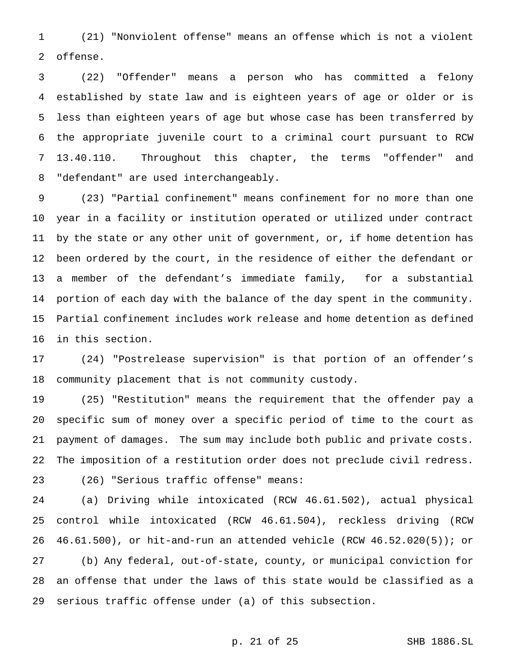(21) "Nonviolent offense" means an offense which is not a violent offense.

 (22) "Offender" means a person who has committed a felony established by state law and is eighteen years of age or older or is less than eighteen years of age but whose case has been transferred by the appropriate juvenile court to a criminal court pursuant to RCW 13.40.110. Throughout this chapter, the terms "offender" and "defendant" are used interchangeably.

 (23) "Partial confinement" means confinement for no more than one year in a facility or institution operated or utilized under contract by the state or any other unit of government, or, if home detention has been ordered by the court, in the residence of either the defendant or a member of the defendant's immediate family, for a substantial portion of each day with the balance of the day spent in the community. Partial confinement includes work release and home detention as defined in this section.

 (24) "Postrelease supervision" is that portion of an offender's community placement that is not community custody.

 (25) "Restitution" means the requirement that the offender pay a specific sum of money over a specific period of time to the court as payment of damages. The sum may include both public and private costs. The imposition of a restitution order does not preclude civil redress. (26) "Serious traffic offense" means:

 (a) Driving while intoxicated (RCW 46.61.502), actual physical control while intoxicated (RCW 46.61.504), reckless driving (RCW 46.61.500), or hit-and-run an attended vehicle (RCW 46.52.020(5)); or (b) Any federal, out-of-state, county, or municipal conviction for an offense that under the laws of this state would be classified as a serious traffic offense under (a) of this subsection.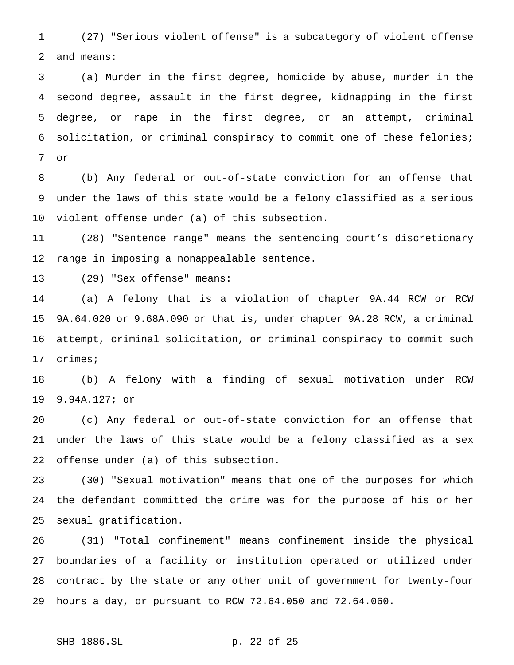(27) "Serious violent offense" is a subcategory of violent offense and means:

 (a) Murder in the first degree, homicide by abuse, murder in the second degree, assault in the first degree, kidnapping in the first degree, or rape in the first degree, or an attempt, criminal solicitation, or criminal conspiracy to commit one of these felonies; or

 (b) Any federal or out-of-state conviction for an offense that under the laws of this state would be a felony classified as a serious violent offense under (a) of this subsection.

 (28) "Sentence range" means the sentencing court's discretionary range in imposing a nonappealable sentence.

(29) "Sex offense" means:

 (a) A felony that is a violation of chapter 9A.44 RCW or RCW 9A.64.020 or 9.68A.090 or that is, under chapter 9A.28 RCW, a criminal attempt, criminal solicitation, or criminal conspiracy to commit such crimes;

 (b) A felony with a finding of sexual motivation under RCW 9.94A.127; or

 (c) Any federal or out-of-state conviction for an offense that under the laws of this state would be a felony classified as a sex offense under (a) of this subsection.

 (30) "Sexual motivation" means that one of the purposes for which the defendant committed the crime was for the purpose of his or her sexual gratification.

 (31) "Total confinement" means confinement inside the physical boundaries of a facility or institution operated or utilized under contract by the state or any other unit of government for twenty-four hours a day, or pursuant to RCW 72.64.050 and 72.64.060.

SHB 1886.SL p. 22 of 25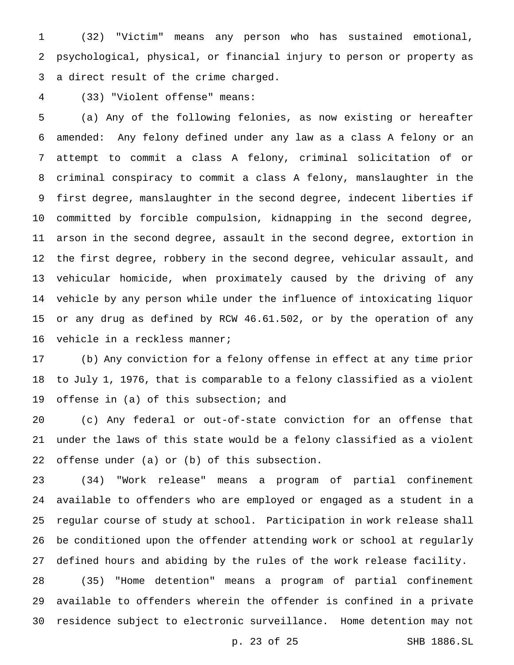(32) "Victim" means any person who has sustained emotional, psychological, physical, or financial injury to person or property as a direct result of the crime charged.

(33) "Violent offense" means:

 (a) Any of the following felonies, as now existing or hereafter amended: Any felony defined under any law as a class A felony or an attempt to commit a class A felony, criminal solicitation of or criminal conspiracy to commit a class A felony, manslaughter in the first degree, manslaughter in the second degree, indecent liberties if committed by forcible compulsion, kidnapping in the second degree, arson in the second degree, assault in the second degree, extortion in the first degree, robbery in the second degree, vehicular assault, and vehicular homicide, when proximately caused by the driving of any vehicle by any person while under the influence of intoxicating liquor or any drug as defined by RCW 46.61.502, or by the operation of any vehicle in a reckless manner;

 (b) Any conviction for a felony offense in effect at any time prior to July 1, 1976, that is comparable to a felony classified as a violent offense in (a) of this subsection; and

 (c) Any federal or out-of-state conviction for an offense that under the laws of this state would be a felony classified as a violent offense under (a) or (b) of this subsection.

 (34) "Work release" means a program of partial confinement available to offenders who are employed or engaged as a student in a regular course of study at school. Participation in work release shall be conditioned upon the offender attending work or school at regularly defined hours and abiding by the rules of the work release facility.

 (35) "Home detention" means a program of partial confinement available to offenders wherein the offender is confined in a private residence subject to electronic surveillance. Home detention may not

p. 23 of 25 SHB 1886.SL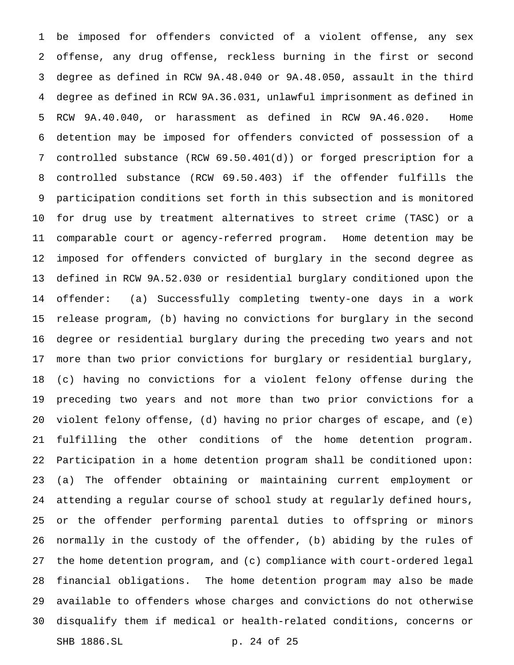be imposed for offenders convicted of a violent offense, any sex offense, any drug offense, reckless burning in the first or second degree as defined in RCW 9A.48.040 or 9A.48.050, assault in the third degree as defined in RCW 9A.36.031, unlawful imprisonment as defined in RCW 9A.40.040, or harassment as defined in RCW 9A.46.020. Home detention may be imposed for offenders convicted of possession of a controlled substance (RCW 69.50.401(d)) or forged prescription for a controlled substance (RCW 69.50.403) if the offender fulfills the participation conditions set forth in this subsection and is monitored for drug use by treatment alternatives to street crime (TASC) or a comparable court or agency-referred program. Home detention may be imposed for offenders convicted of burglary in the second degree as defined in RCW 9A.52.030 or residential burglary conditioned upon the offender: (a) Successfully completing twenty-one days in a work release program, (b) having no convictions for burglary in the second degree or residential burglary during the preceding two years and not more than two prior convictions for burglary or residential burglary, (c) having no convictions for a violent felony offense during the preceding two years and not more than two prior convictions for a violent felony offense, (d) having no prior charges of escape, and (e) fulfilling the other conditions of the home detention program. Participation in a home detention program shall be conditioned upon: (a) The offender obtaining or maintaining current employment or attending a regular course of school study at regularly defined hours, or the offender performing parental duties to offspring or minors normally in the custody of the offender, (b) abiding by the rules of the home detention program, and (c) compliance with court-ordered legal financial obligations. The home detention program may also be made available to offenders whose charges and convictions do not otherwise disqualify them if medical or health-related conditions, concerns or SHB 1886.SL p. 24 of 25